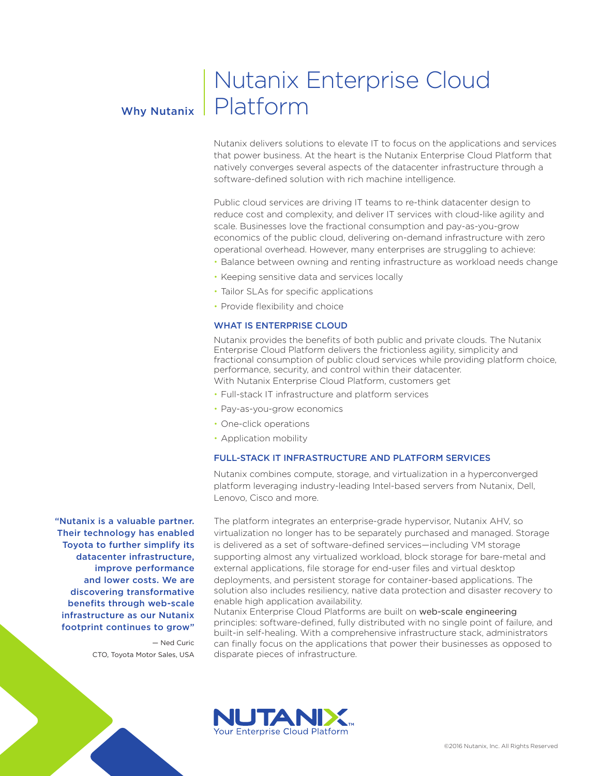## Why Nutanix

# Nutanix Enterprise Cloud Platform

Nutanix delivers solutions to elevate IT to focus on the applications and services that power business. At the heart is the Nutanix Enterprise Cloud Platform that natively converges several aspects of the datacenter infrastructure through a software-defined solution with rich machine intelligence.

Public cloud services are driving IT teams to re-think datacenter design to reduce cost and complexity, and deliver IT services with cloud-like agility and scale. Businesses love the fractional consumption and pay-as-you-grow economics of the public cloud, delivering on-demand infrastructure with zero operational overhead. However, many enterprises are struggling to achieve:

- Balance between owning and renting infrastructure as workload needs change
- Keeping sensitive data and services locally
- Tailor SLAs for specific applications
- Provide flexibility and choice

#### WHAT IS ENTERPRISE CLOUD

Nutanix provides the benefits of both public and private clouds. The Nutanix Enterprise Cloud Platform delivers the frictionless agility, simplicity and fractional consumption of public cloud services while providing platform choice, performance, security, and control within their datacenter. With Nutanix Enterprise Cloud Platform, customers get

- Full-stack IT infrastructure and platform services
- Pay-as-you-grow economics
- One-click operations
- Application mobility

#### FULL-STACK IT INFRASTRUCTURE AND PLATFORM SERVICES

Nutanix combines compute, storage, and virtualization in a hyperconverged platform leveraging industry-leading Intel-based servers from Nutanix, Dell, Lenovo, Cisco and more.

"Nutanix is a valuable partner. Their technology has enabled Toyota to further simplify its datacenter infrastructure, improve performance and lower costs. We are discovering transformative benefits through web-scale infrastructure as our Nutanix footprint continues to grow"

> — Ned Curic CTO, Toyota Motor Sales, USA

The platform integrates an enterprise-grade hypervisor, Nutanix AHV, so virtualization no longer has to be separately purchased and managed. Storage is delivered as a set of software-defined services—including VM storage supporting almost any virtualized workload, block storage for bare-metal and external applications, file storage for end-user files and virtual desktop deployments, and persistent storage for container-based applications. The solution also includes resiliency, native data protection and disaster recovery to enable high application availability.

Nutanix Enterprise Cloud Platforms are built on web-scale engineering principles: software-defined, fully distributed with no single point of failure, and built-in self-healing. With a comprehensive infrastructure stack, administrators can finally focus on the applications that power their businesses as opposed to disparate pieces of infrastructure.